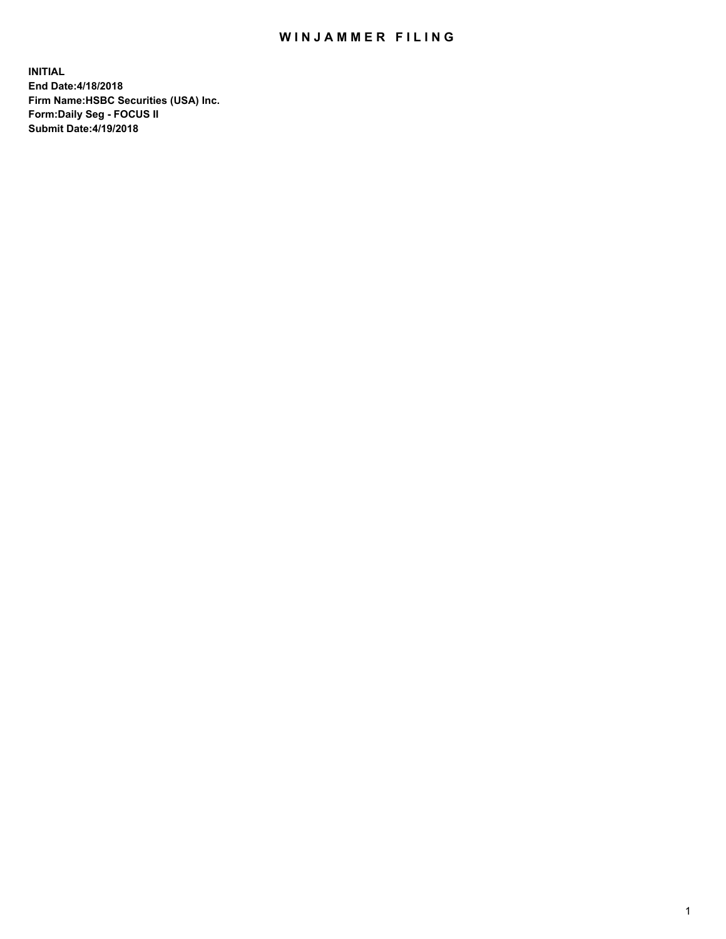## WIN JAMMER FILING

**INITIAL End Date:4/18/2018 Firm Name:HSBC Securities (USA) Inc. Form:Daily Seg - FOCUS II Submit Date:4/19/2018**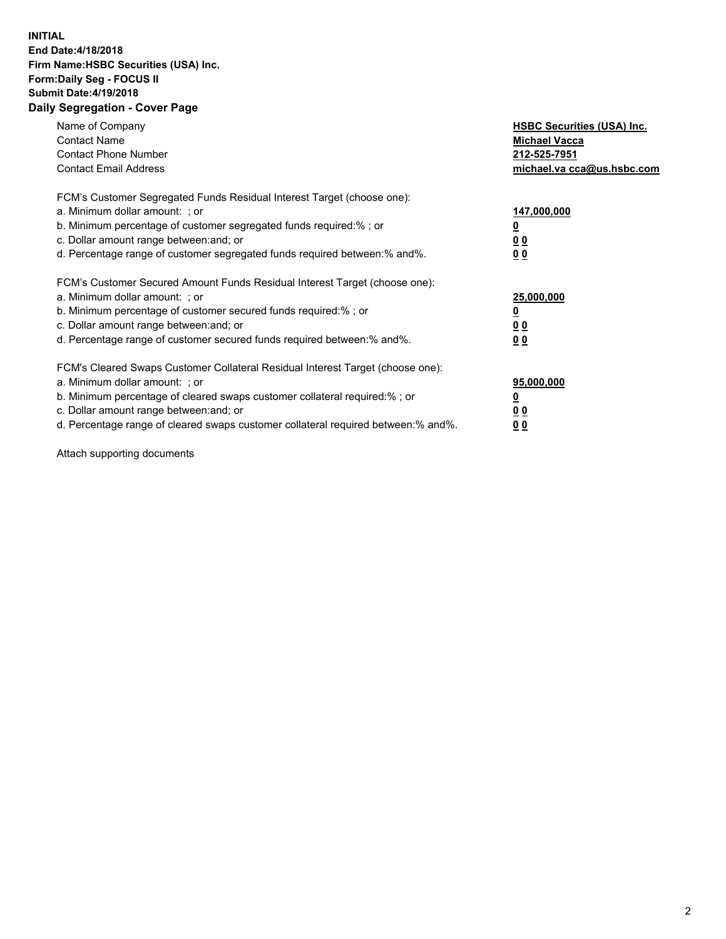## **INITIAL End Date:4/18/2018 Firm Name:HSBC Securities (USA) Inc. Form:Daily Seg - FOCUS II Submit Date:4/19/2018 Daily Segregation - Cover Page**

| Name of Company<br><b>Contact Name</b><br><b>Contact Phone Number</b><br><b>Contact Email Address</b>                                                                                                                                                                                                                         | <b>HSBC Securities (USA) Inc.</b><br><b>Michael Vacca</b><br>212-525-7951<br>michael.va cca@us.hsbc.com |
|-------------------------------------------------------------------------------------------------------------------------------------------------------------------------------------------------------------------------------------------------------------------------------------------------------------------------------|---------------------------------------------------------------------------------------------------------|
| FCM's Customer Segregated Funds Residual Interest Target (choose one):<br>a. Minimum dollar amount: ; or<br>b. Minimum percentage of customer segregated funds required:%; or<br>c. Dollar amount range between: and; or<br>d. Percentage range of customer segregated funds required between:% and%.                         | 147,000,000<br>00<br>0 <sub>0</sub>                                                                     |
| FCM's Customer Secured Amount Funds Residual Interest Target (choose one):<br>a. Minimum dollar amount: ; or<br>b. Minimum percentage of customer secured funds required:%; or<br>c. Dollar amount range between: and; or<br>d. Percentage range of customer secured funds required between: % and %.                         | 25,000,000<br>0 <sub>0</sub><br>0 <sub>0</sub>                                                          |
| FCM's Cleared Swaps Customer Collateral Residual Interest Target (choose one):<br>a. Minimum dollar amount: ; or<br>b. Minimum percentage of cleared swaps customer collateral required:%; or<br>c. Dollar amount range between: and; or<br>d. Percentage range of cleared swaps customer collateral required between:% and%. | 95,000,000<br>00<br><u>00</u>                                                                           |

Attach supporting documents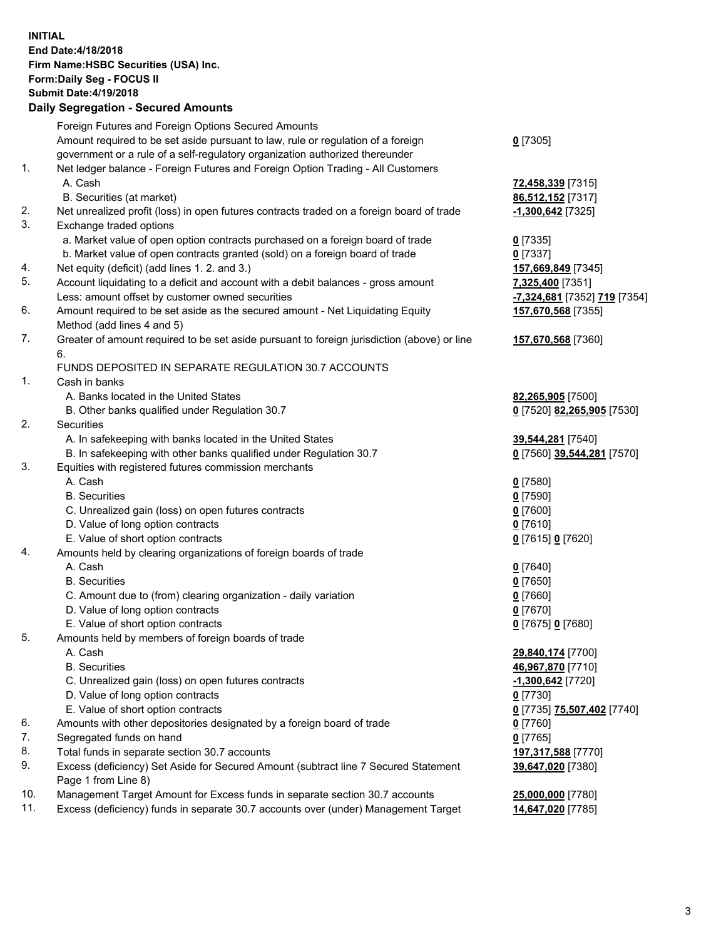**INITIAL End Date:4/18/2018 Firm Name:HSBC Securities (USA) Inc. Form:Daily Seg - FOCUS II Submit Date:4/19/2018 Daily Segregation - Secured Amounts** Foreign Futures and Foreign Options Secured Amounts Amount required to be set aside pursuant to law, rule or regulation of a foreign government or a rule of a self-regulatory organization authorized thereunder 1. Net ledger balance - Foreign Futures and Foreign Option Trading - All Customers A. Cash **72,458,339** [7315] B. Securities (at market) **86,512,152** [7317] 2. Net unrealized profit (loss) in open futures contracts traded on a foreign board of trade **-1,300,642** [7325] 3. Exchange traded options

- a. Market value of open option contracts purchased on a foreign board of trade **0** [7335] b. Market value of open contracts granted (sold) on a foreign board of trade **0** [7337]
- 4. Net equity (deficit) (add lines 1. 2. and 3.) **157,669,849** [7345]
- 5. Account liquidating to a deficit and account with a debit balances gross amount **7,325,400** [7351] Less: amount offset by customer owned securities **-7,324,681** [7352] **719** [7354]
- 6. Amount required to be set aside as the secured amount Net Liquidating Equity Method (add lines 4 and 5)
- 7. Greater of amount required to be set aside pursuant to foreign jurisdiction (above) or line 6.

## FUNDS DEPOSITED IN SEPARATE REGULATION 30.7 ACCOUNTS

- 1. Cash in banks
	- A. Banks located in the United States **82,265,905** [7500]
	- B. Other banks qualified under Regulation 30.7 **0** [7520] **82,265,905** [7530]
- 2. Securities
	- A. In safekeeping with banks located in the United States **39,544,281** [7540]
	- B. In safekeeping with other banks qualified under Regulation 30.7 **0** [7560] **39,544,281** [7570]
- 3. Equities with registered futures commission merchants
	-
	-
	- C. Unrealized gain (loss) on open futures contracts **0** [7600]
	- D. Value of long option contracts **0** [7610]
	- E. Value of short option contracts **0** [7615] **0** [7620]
- 4. Amounts held by clearing organizations of foreign boards of trade
	- A. Cash **0** [7640]
		-
	- C. Amount due to (from) clearing organization daily variation **0** [7660]
	- D. Value of long option contracts **0** [7670]
	- E. Value of short option contracts **0** [7675] **0** [7680]
- 5. Amounts held by members of foreign boards of trade
	-
	-
	- C. Unrealized gain (loss) on open futures contracts **-1,300,642** [7720]
	- D. Value of long option contracts **0** [7730]
	- E. Value of short option contracts **0** [7735] **75,507,402** [7740]
- 6. Amounts with other depositories designated by a foreign board of trade **0** [7760]
- 7. Segregated funds on hand **0** [7765]
- 8. Total funds in separate section 30.7 accounts **197,317,588** [7770]
- 9. Excess (deficiency) Set Aside for Secured Amount (subtract line 7 Secured Statement Page 1 from Line 8)
- 10. Management Target Amount for Excess funds in separate section 30.7 accounts **25,000,000** [7780]
- 11. Excess (deficiency) funds in separate 30.7 accounts over (under) Management Target **14,647,020** [7785]

**0** [7305]

- 
- **157,670,568** [7355]
- **157,670,568** [7360]
- 
- 
- A. Cash **0** [7580] B. Securities **0** [7590]
- B. Securities **0** [7650]
	-
- A. Cash **29,840,174** [7700] B. Securities **46,967,870** [7710] **39,647,020** [7380]
	-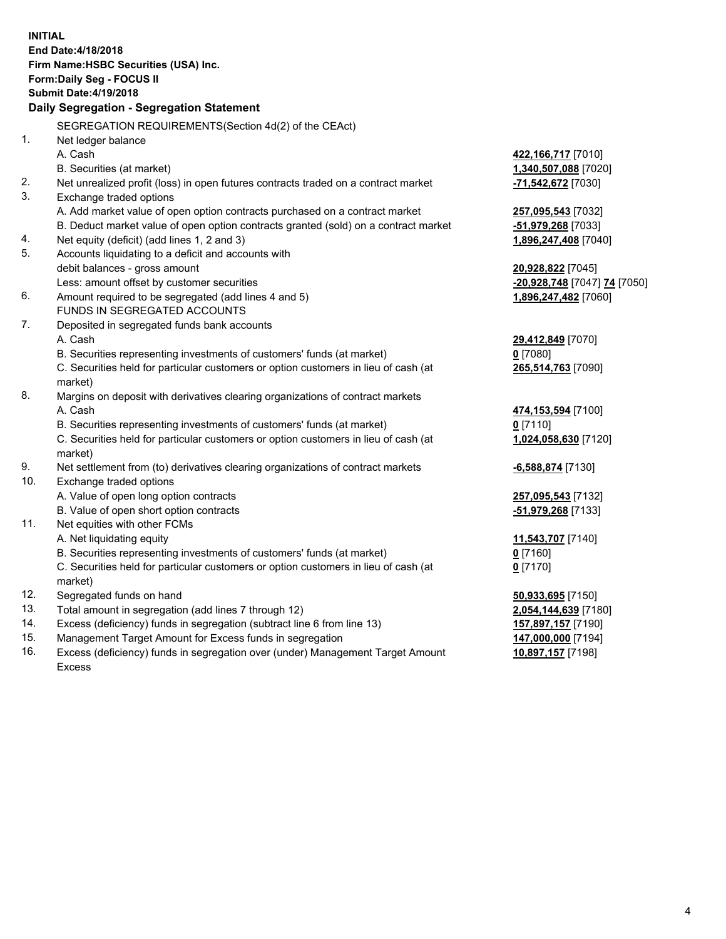**INITIAL End Date:4/18/2018 Firm Name:HSBC Securities (USA) Inc. Form:Daily Seg - FOCUS II Submit Date:4/19/2018 Daily Segregation - Segregation Statement** SEGREGATION REQUIREMENTS(Section 4d(2) of the CEAct) 1. Net ledger balance A. Cash **422,166,717** [7010] B. Securities (at market) **1,340,507,088** [7020] 2. Net unrealized profit (loss) in open futures contracts traded on a contract market **-71,542,672** [7030] 3. Exchange traded options A. Add market value of open option contracts purchased on a contract market **257,095,543** [7032] B. Deduct market value of open option contracts granted (sold) on a contract market **-51,979,268** [7033] 4. Net equity (deficit) (add lines 1, 2 and 3) **1,896,247,408** [7040] 5. Accounts liquidating to a deficit and accounts with debit balances - gross amount **20,928,822** [7045] Less: amount offset by customer securities **-20,928,748** [7047] **74** [7050] 6. Amount required to be segregated (add lines 4 and 5) **1,896,247,482** [7060] FUNDS IN SEGREGATED ACCOUNTS 7. Deposited in segregated funds bank accounts A. Cash **29,412,849** [7070] B. Securities representing investments of customers' funds (at market) **0** [7080] C. Securities held for particular customers or option customers in lieu of cash (at market) **265,514,763** [7090] 8. Margins on deposit with derivatives clearing organizations of contract markets A. Cash **474,153,594** [7100] B. Securities representing investments of customers' funds (at market) **0** [7110] C. Securities held for particular customers or option customers in lieu of cash (at market) **1,024,058,630** [7120] 9. Net settlement from (to) derivatives clearing organizations of contract markets **-6,588,874** [7130] 10. Exchange traded options A. Value of open long option contracts **257,095,543** [7132] B. Value of open short option contracts **-51,979,268** [7133] 11. Net equities with other FCMs A. Net liquidating equity **11,543,707** [7140] B. Securities representing investments of customers' funds (at market) **0** [7160] C. Securities held for particular customers or option customers in lieu of cash (at market) **0** [7170] 12. Segregated funds on hand **50,933,695** [7150] 13. Total amount in segregation (add lines 7 through 12) **2,054,144,639** [7180] 14. Excess (deficiency) funds in segregation (subtract line 6 from line 13) **157,897,157** [7190] 15. Management Target Amount for Excess funds in segregation **147,000,000** [7194]

16. Excess (deficiency) funds in segregation over (under) Management Target Amount Excess

**10,897,157** [7198]